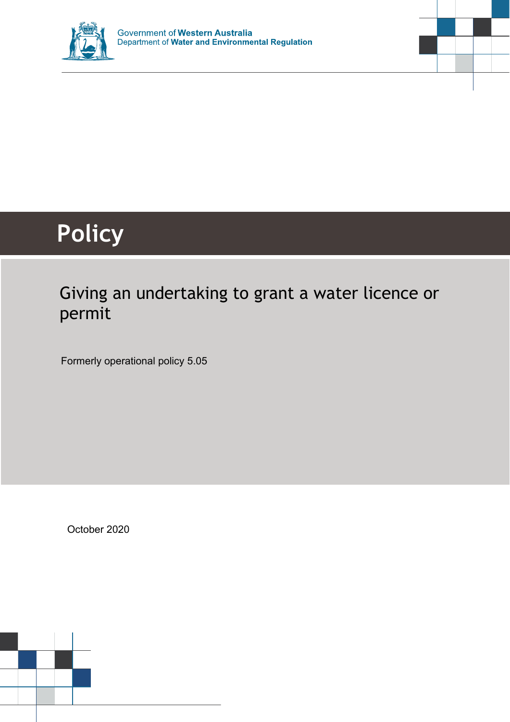



# **Policy**

# Giving an undertaking to grant a water licence or permit

Formerly operational policy 5.05

October 2020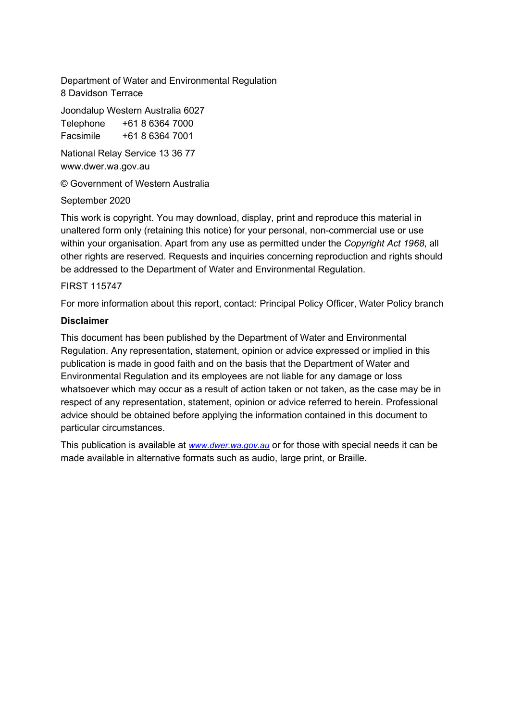Department of Water and Environmental Regulation 8 Davidson Terrace

Joondalup Western Australia 6027

Telephone +61 8 6364 7000 Facsimile +61 8 6364 7001

National Relay Service 13 36 77 www.dwer.wa.gov.au

© Government of Western Australia

September 2020

This work is copyright. You may download, display, print and reproduce this material in unaltered form only (retaining this notice) for your personal, non-commercial use or use within your organisation. Apart from any use as permitted under the *Copyright Act 1968*, all other rights are reserved. Requests and inquiries concerning reproduction and rights should be addressed to the Department of Water and Environmental Regulation.

#### FIRST 115747

For more information about this report, contact: Principal Policy Officer, Water Policy branch

#### **Disclaimer**

This document has been published by the Department of Water and Environmental Regulation. Any representation, statement, opinion or advice expressed or implied in this publication is made in good faith and on the basis that the Department of Water and Environmental Regulation and its employees are not liable for any damage or loss whatsoever which may occur as a result of action taken or not taken, as the case may be in respect of any representation, statement, opinion or advice referred to herein. Professional advice should be obtained before applying the information contained in this document to particular circumstances.

This publication is available at *[www.dwer.wa.gov.au](http://www.dwer.wa.gov.au/)* or for those with special needs it can be made available in alternative formats such as audio, large print, or Braille.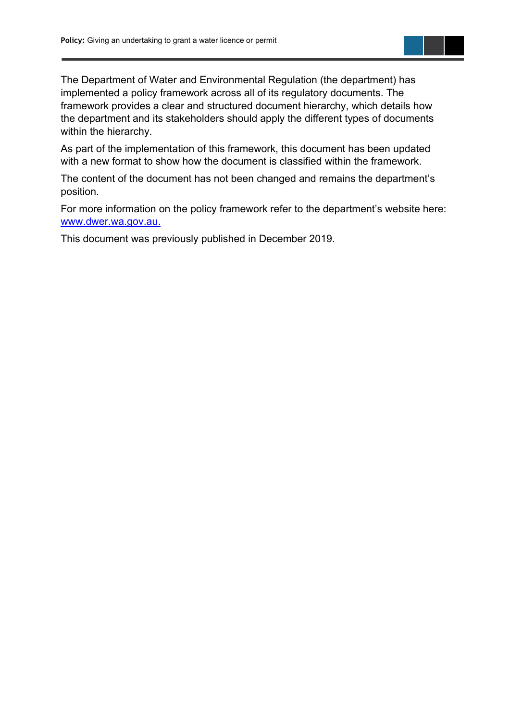The Department of Water and Environmental Regulation (the department) has implemented a policy framework across all of its regulatory documents. The framework provides a clear and structured document hierarchy, which details how the department and its stakeholders should apply the different types of documents within the hierarchy.

As part of the implementation of this framework, this document has been updated with a new format to show how the document is classified within the framework.

The content of the document has not been changed and remains the department's position.

For more information on the policy framework refer to the department's website here: [www.dwer.wa.gov.au.](http://www.dwer.wa.gov.au./)

This document was previously published in December 2019.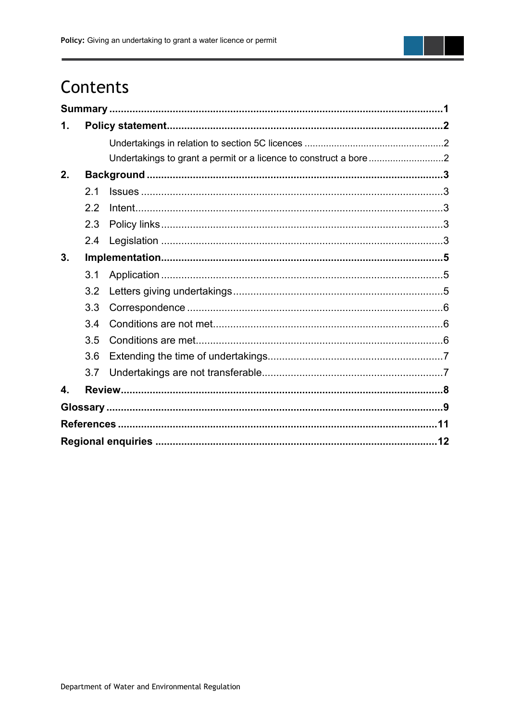

## Contents

| 1. |                |  |  |  |  |  |
|----|----------------|--|--|--|--|--|
|    |                |  |  |  |  |  |
|    |                |  |  |  |  |  |
| 2. |                |  |  |  |  |  |
|    | 2 <sub>1</sub> |  |  |  |  |  |
|    | 2.2            |  |  |  |  |  |
|    | 2.3            |  |  |  |  |  |
|    | 2.4            |  |  |  |  |  |
| 3. |                |  |  |  |  |  |
|    | 3.1            |  |  |  |  |  |
|    | 3.2            |  |  |  |  |  |
|    | 3.3            |  |  |  |  |  |
|    | 3.4            |  |  |  |  |  |
|    | 3.5            |  |  |  |  |  |
|    | 3.6            |  |  |  |  |  |
|    | 3.7            |  |  |  |  |  |
| 4. |                |  |  |  |  |  |
|    |                |  |  |  |  |  |
|    |                |  |  |  |  |  |
|    |                |  |  |  |  |  |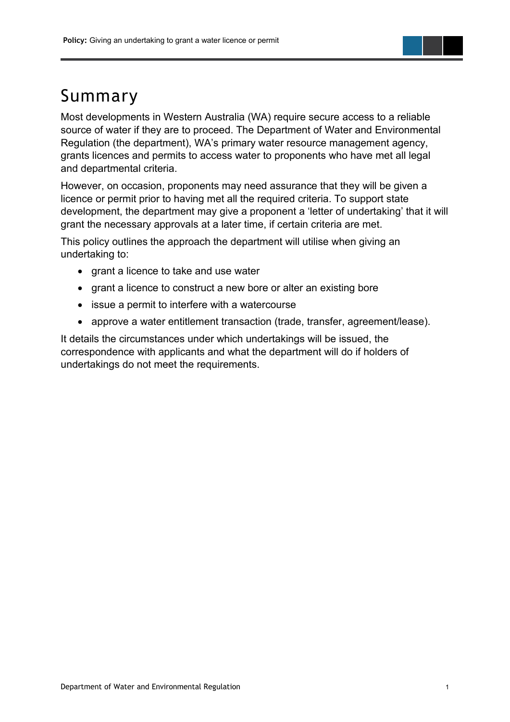## <span id="page-4-0"></span>Summary

Most developments in Western Australia (WA) require secure access to a reliable source of water if they are to proceed. The Department of Water and Environmental Regulation (the department), WA's primary water resource management agency, grants licences and permits to access water to proponents who have met all legal and departmental criteria.

However, on occasion, proponents may need assurance that they will be given a licence or permit prior to having met all the required criteria. To support state development, the department may give a proponent a 'letter of undertaking' that it will grant the necessary approvals at a later time, if certain criteria are met.

This policy outlines the approach the department will utilise when giving an undertaking to:

- grant a licence to take and use water
- grant a licence to construct a new bore or alter an existing bore
- issue a permit to interfere with a watercourse
- approve a water entitlement transaction (trade, transfer, agreement/lease).

It details the circumstances under which undertakings will be issued, the correspondence with applicants and what the department will do if holders of undertakings do not meet the requirements.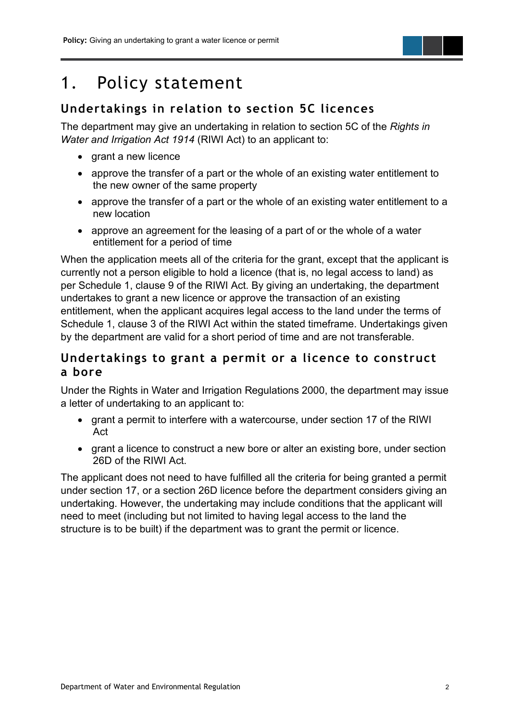## <span id="page-5-0"></span>1. Policy statement

#### <span id="page-5-1"></span>**Undertakings in relation to section 5C licences**

The department may give an undertaking in relation to section 5C of the *Rights in Water and Irrigation Act 1914* (RIWI Act) to an applicant to:

- grant a new licence
- approve the transfer of a part or the whole of an existing water entitlement to the new owner of the same property
- approve the transfer of a part or the whole of an existing water entitlement to a new location
- approve an agreement for the leasing of a part of or the whole of a water entitlement for a period of time

When the application meets all of the criteria for the grant, except that the applicant is currently not a person eligible to hold a licence (that is, no legal access to land) as per Schedule 1, clause 9 of the RIWI Act. By giving an undertaking, the department undertakes to grant a new licence or approve the transaction of an existing entitlement, when the applicant acquires legal access to the land under the terms of Schedule 1, clause 3 of the RIWI Act within the stated timeframe. Undertakings given by the department are valid for a short period of time and are not transferable.

#### <span id="page-5-2"></span>**Undertakings to grant a permit or a licence to construct a bore**

Under the Rights in Water and Irrigation Regulations 2000, the department may issue a letter of undertaking to an applicant to:

- grant a permit to interfere with a watercourse, under section 17 of the RIWI Act
- grant a licence to construct a new bore or alter an existing bore, under section 26D of the RIWI Act.

The applicant does not need to have fulfilled all the criteria for being granted a permit under section 17, or a section 26D licence before the department considers giving an undertaking. However, the undertaking may include conditions that the applicant will need to meet (including but not limited to having legal access to the land the structure is to be built) if the department was to grant the permit or licence.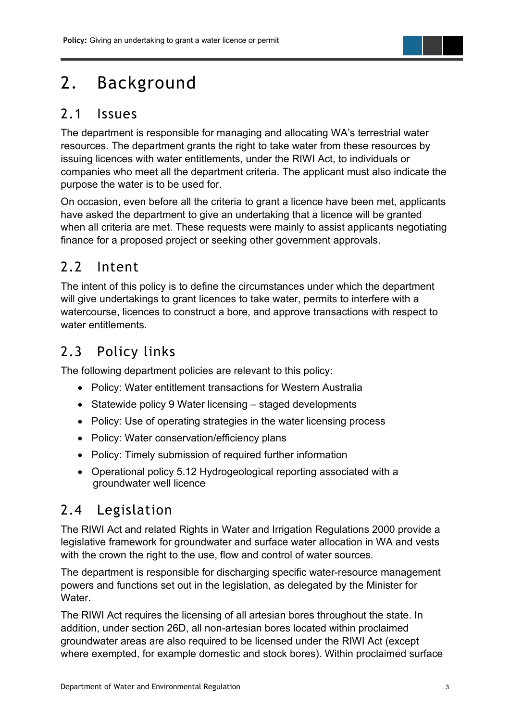# <span id="page-6-0"></span>2. Background

#### <span id="page-6-1"></span>2.1 Issues

The department is responsible for managing and allocating WA's terrestrial water resources. The department grants the right to take water from these resources by issuing licences with water entitlements, under the RIWI Act, to individuals or companies who meet all the department criteria. The applicant must also indicate the purpose the water is to be used for.

On occasion, even before all the criteria to grant a licence have been met, applicants have asked the department to give an undertaking that a licence will be granted when all criteria are met. These requests were mainly to assist applicants negotiating finance for a proposed project or seeking other government approvals.

## <span id="page-6-2"></span>2.2 Intent

The intent of this policy is to define the circumstances under which the department will give undertakings to grant licences to take water, permits to interfere with a watercourse, licences to construct a bore, and approve transactions with respect to water entitlements.

## <span id="page-6-3"></span>2.3 Policy links

The following department policies are relevant to this policy:

- Policy: Water entitlement transactions for Western Australia
- Statewide policy 9 Water licensing staged developments
- Policy: Use of operating strategies in the water licensing process
- Policy: Water conservation/efficiency plans
- Policy: Timely submission of required further information
- Operational policy 5.12 Hydrogeological reporting associated with a groundwater well licence

#### <span id="page-6-4"></span>2.4 Legislation

The RIWI Act and related Rights in Water and Irrigation Regulations 2000 provide a legislative framework for groundwater and surface water allocation in WA and vests with the crown the right to the use, flow and control of water sources.

The department is responsible for discharging specific water-resource management powers and functions set out in the legislation, as delegated by the Minister for Water.

The RIWI Act requires the licensing of all artesian bores throughout the state. In addition, under section 26D, all non-artesian bores located within proclaimed groundwater areas are also required to be licensed under the RIWI Act (except where exempted, for example domestic and stock bores). Within proclaimed surface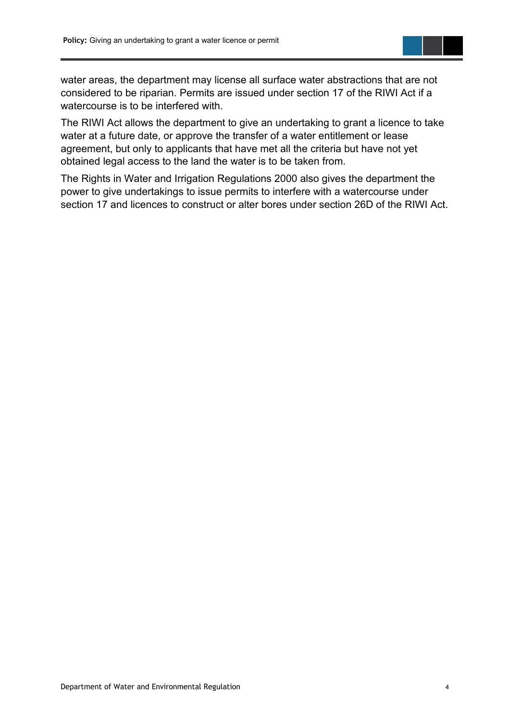water areas, the department may license all surface water abstractions that are not considered to be riparian. Permits are issued under section 17 of the RIWI Act if a watercourse is to be interfered with.

The RIWI Act allows the department to give an undertaking to grant a licence to take water at a future date, or approve the transfer of a water entitlement or lease agreement, but only to applicants that have met all the criteria but have not yet obtained legal access to the land the water is to be taken from.

The Rights in Water and Irrigation Regulations 2000 also gives the department the power to give undertakings to issue permits to interfere with a watercourse under section 17 and licences to construct or alter bores under section 26D of the RIWI Act.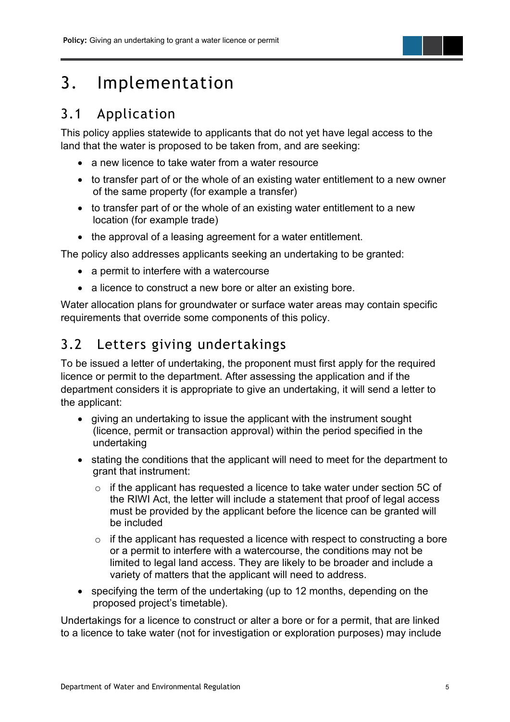## <span id="page-8-0"></span>3. Implementation

### <span id="page-8-1"></span>3.1 Application

This policy applies statewide to applicants that do not yet have legal access to the land that the water is proposed to be taken from, and are seeking:

- a new licence to take water from a water resource
- to transfer part of or the whole of an existing water entitlement to a new owner of the same property (for example a transfer)
- to transfer part of or the whole of an existing water entitlement to a new location (for example trade)
- the approval of a leasing agreement for a water entitlement.

The policy also addresses applicants seeking an undertaking to be granted:

- a permit to interfere with a watercourse
- a licence to construct a new bore or alter an existing bore.

Water allocation plans for groundwater or surface water areas may contain specific requirements that override some components of this policy.

### <span id="page-8-2"></span>3.2 Letters giving undertakings

To be issued a letter of undertaking, the proponent must first apply for the required licence or permit to the department. After assessing the application and if the department considers it is appropriate to give an undertaking, it will send a letter to the applicant:

- giving an undertaking to issue the applicant with the instrument sought (licence, permit or transaction approval) within the period specified in the undertaking
- stating the conditions that the applicant will need to meet for the department to grant that instrument:
	- o if the applicant has requested a licence to take water under section 5C of the RIWI Act, the letter will include a statement that proof of legal access must be provided by the applicant before the licence can be granted will be included
	- $\circ$  if the applicant has requested a licence with respect to constructing a bore or a permit to interfere with a watercourse, the conditions may not be limited to legal land access. They are likely to be broader and include a variety of matters that the applicant will need to address.
- specifying the term of the undertaking (up to 12 months, depending on the proposed project's timetable).

Undertakings for a licence to construct or alter a bore or for a permit, that are linked to a licence to take water (not for investigation or exploration purposes) may include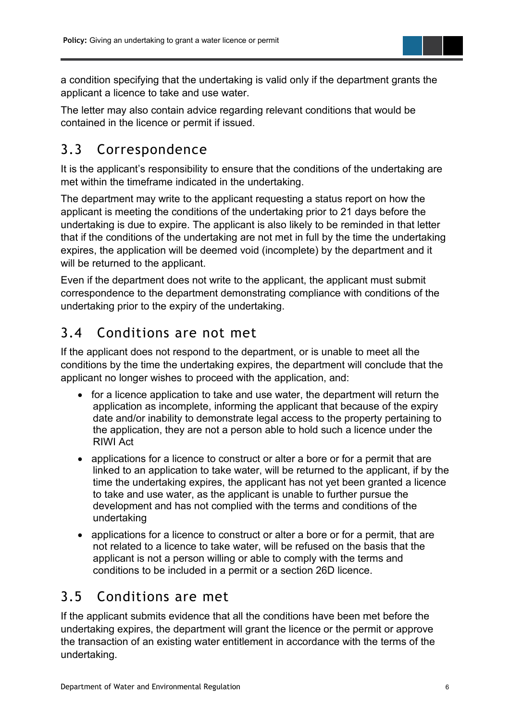a condition specifying that the undertaking is valid only if the department grants the applicant a licence to take and use water.

The letter may also contain advice regarding relevant conditions that would be contained in the licence or permit if issued.

## <span id="page-9-0"></span>3.3 Correspondence

It is the applicant's responsibility to ensure that the conditions of the undertaking are met within the timeframe indicated in the undertaking.

The department may write to the applicant requesting a status report on how the applicant is meeting the conditions of the undertaking prior to 21 days before the undertaking is due to expire. The applicant is also likely to be reminded in that letter that if the conditions of the undertaking are not met in full by the time the undertaking expires, the application will be deemed void (incomplete) by the department and it will be returned to the applicant.

Even if the department does not write to the applicant, the applicant must submit correspondence to the department demonstrating compliance with conditions of the undertaking prior to the expiry of the undertaking.

### <span id="page-9-1"></span>3.4 Conditions are not met

If the applicant does not respond to the department, or is unable to meet all the conditions by the time the undertaking expires, the department will conclude that the applicant no longer wishes to proceed with the application, and:

- for a licence application to take and use water, the department will return the application as incomplete, informing the applicant that because of the expiry date and/or inability to demonstrate legal access to the property pertaining to the application, they are not a person able to hold such a licence under the RIWI Act
- applications for a licence to construct or alter a bore or for a permit that are linked to an application to take water, will be returned to the applicant, if by the time the undertaking expires, the applicant has not yet been granted a licence to take and use water, as the applicant is unable to further pursue the development and has not complied with the terms and conditions of the undertaking
- applications for a licence to construct or alter a bore or for a permit, that are not related to a licence to take water, will be refused on the basis that the applicant is not a person willing or able to comply with the terms and conditions to be included in a permit or a section 26D licence.

## <span id="page-9-2"></span>3.5 Conditions are met

If the applicant submits evidence that all the conditions have been met before the undertaking expires, the department will grant the licence or the permit or approve the transaction of an existing water entitlement in accordance with the terms of the undertaking.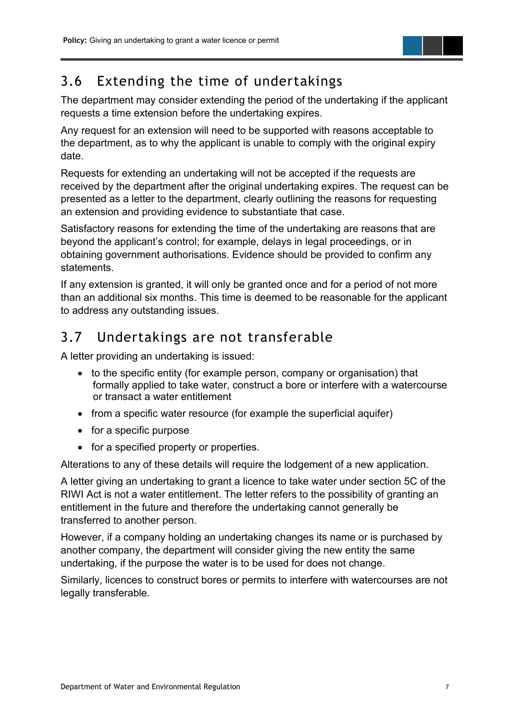### <span id="page-10-0"></span>3.6 Extending the time of undertakings

The department may consider extending the period of the undertaking if the applicant requests a time extension before the undertaking expires.

Any request for an extension will need to be supported with reasons acceptable to the department, as to why the applicant is unable to comply with the original expiry date.

Requests for extending an undertaking will not be accepted if the requests are received by the department after the original undertaking expires. The request can be presented as a letter to the department, clearly outlining the reasons for requesting an extension and providing evidence to substantiate that case.

Satisfactory reasons for extending the time of the undertaking are reasons that are beyond the applicant's control; for example, delays in legal proceedings, or in obtaining government authorisations. Evidence should be provided to confirm any statements.

If any extension is granted, it will only be granted once and for a period of not more than an additional six months. This time is deemed to be reasonable for the applicant to address any outstanding issues.

### <span id="page-10-1"></span>3.7 Undertakings are not transferable

A letter providing an undertaking is issued:

- to the specific entity (for example person, company or organisation) that formally applied to take water, construct a bore or interfere with a watercourse or transact a water entitlement
- from a specific water resource (for example the superficial aquifer)
- for a specific purpose
- for a specified property or properties.

Alterations to any of these details will require the lodgement of a new application.

A letter giving an undertaking to grant a licence to take water under section 5C of the RIWI Act is not a water entitlement. The letter refers to the possibility of granting an entitlement in the future and therefore the undertaking cannot generally be transferred to another person.

However, if a company holding an undertaking changes its name or is purchased by another company, the department will consider giving the new entity the same undertaking, if the purpose the water is to be used for does not change.

Similarly, licences to construct bores or permits to interfere with watercourses are not legally transferable.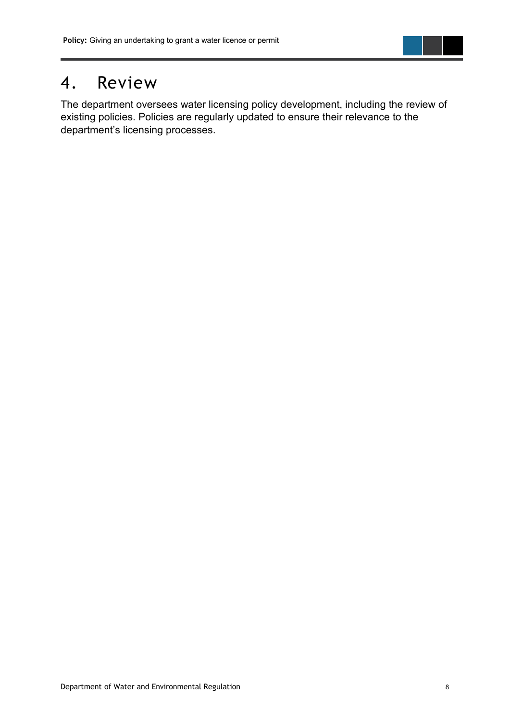## <span id="page-11-0"></span>4. Review

The department oversees water licensing policy development, including the review of existing policies. Policies are regularly updated to ensure their relevance to the department's licensing processes.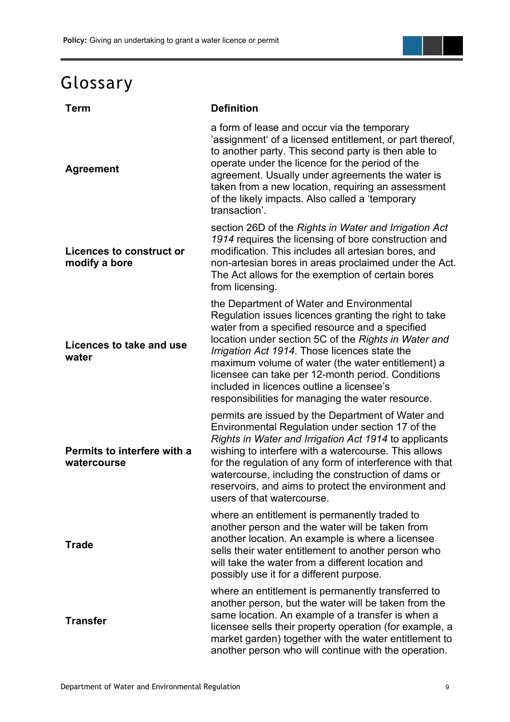# <span id="page-12-0"></span>Glossary

| <b>Term</b>                                      | <b>Definition</b>                                                                                                                                                                                                                                                                                                                                                                                                                                                          |
|--------------------------------------------------|----------------------------------------------------------------------------------------------------------------------------------------------------------------------------------------------------------------------------------------------------------------------------------------------------------------------------------------------------------------------------------------------------------------------------------------------------------------------------|
| <b>Agreement</b>                                 | a form of lease and occur via the temporary<br>'assignment' of a licensed entitlement, or part thereof,<br>to another party. This second party is then able to<br>operate under the licence for the period of the<br>agreement. Usually under agreements the water is<br>taken from a new location, requiring an assessment<br>of the likely impacts. Also called a 'temporary<br>transaction'.                                                                            |
| <b>Licences to construct or</b><br>modify a bore | section 26D of the Rights in Water and Irrigation Act<br>1914 requires the licensing of bore construction and<br>modification. This includes all artesian bores, and<br>non-artesian bores in areas proclaimed under the Act.<br>The Act allows for the exemption of certain bores<br>from licensing.                                                                                                                                                                      |
| Licences to take and use<br>water                | the Department of Water and Environmental<br>Regulation issues licences granting the right to take<br>water from a specified resource and a specified<br>location under section 5C of the Rights in Water and<br>Irrigation Act 1914. Those licences state the<br>maximum volume of water (the water entitlement) a<br>licensee can take per 12-month period. Conditions<br>included in licences outline a licensee's<br>responsibilities for managing the water resource. |
| Permits to interfere with a<br>watercourse       | permits are issued by the Department of Water and<br>Environmental Regulation under section 17 of the<br>Rights in Water and Irrigation Act 1914 to applicants<br>wishing to interfere with a watercourse. This allows<br>for the regulation of any form of interference with that<br>watercourse, including the construction of dams or<br>reservoirs, and aims to protect the environment and<br>users of that watercourse.                                              |
| <b>Trade</b>                                     | where an entitlement is permanently traded to<br>another person and the water will be taken from<br>another location. An example is where a licensee<br>sells their water entitlement to another person who<br>will take the water from a different location and<br>possibly use it for a different purpose.                                                                                                                                                               |
| <b>Transfer</b>                                  | where an entitlement is permanently transferred to<br>another person, but the water will be taken from the<br>same location. An example of a transfer is when a<br>licensee sells their property operation (for example, a<br>market garden) together with the water entitlement to<br>another person who will continue with the operation.                                                                                                                                |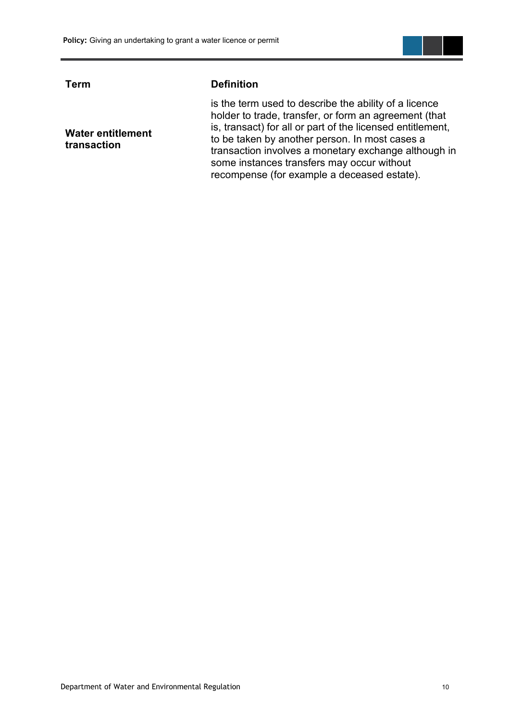

**Water entitlement transaction**

#### **Term Definition**

is the term used to describe the ability of a licence holder to trade, transfer, or form an agreement (that is, transact) for all or part of the licensed entitlement, to be taken by another person. In most cases a transaction involves a monetary exchange although in some instances transfers may occur without recompense (for example a deceased estate).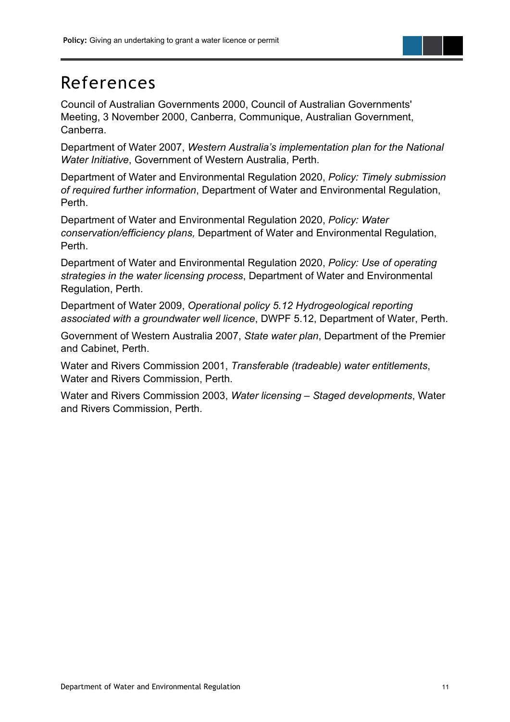## <span id="page-14-0"></span>References

Council of Australian Governments 2000, Council of Australian Governments' Meeting, 3 November 2000, Canberra, Communique, Australian Government, Canberra.

Department of Water 2007, *Western Australia's implementation plan for the National Water Initiative*, Government of Western Australia, Perth.

Department of Water and Environmental Regulation 2020, *Policy: Timely submission of required further information*, Department of Water and Environmental Regulation, Perth.

Department of Water and Environmental Regulation 2020, *Policy: Water conservation/efficiency plans,* Department of Water and Environmental Regulation, Perth.

Department of Water and Environmental Regulation 2020, *Policy: Use of operating strategies in the water licensing process*, Department of Water and Environmental Regulation, Perth.

Department of Water 2009, *Operational policy 5.12 Hydrogeological reporting associated with a groundwater well licence*, DWPF 5.12, Department of Water, Perth.

Government of Western Australia 2007, *State water plan*, Department of the Premier and Cabinet, Perth.

Water and Rivers Commission 2001, *Transferable (tradeable) water entitlements*, Water and Rivers Commission, Perth.

Water and Rivers Commission 2003, *Water licensing – Staged developments*, Water and Rivers Commission, Perth.